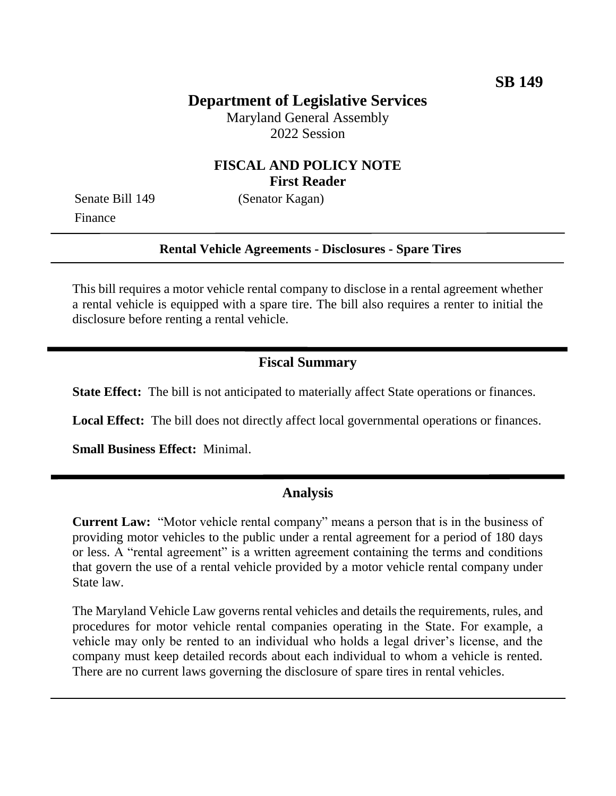# **Department of Legislative Services**

Maryland General Assembly 2022 Session

### **FISCAL AND POLICY NOTE First Reader**

Finance

Senate Bill 149 (Senator Kagan)

#### **Rental Vehicle Agreements - Disclosures - Spare Tires**

This bill requires a motor vehicle rental company to disclose in a rental agreement whether a rental vehicle is equipped with a spare tire. The bill also requires a renter to initial the disclosure before renting a rental vehicle.

#### **Fiscal Summary**

**State Effect:** The bill is not anticipated to materially affect State operations or finances.

**Local Effect:** The bill does not directly affect local governmental operations or finances.

**Small Business Effect:** Minimal.

### **Analysis**

**Current Law:** "Motor vehicle rental company" means a person that is in the business of providing motor vehicles to the public under a rental agreement for a period of 180 days or less. A "rental agreement" is a written agreement containing the terms and conditions that govern the use of a rental vehicle provided by a motor vehicle rental company under State law.

The Maryland Vehicle Law governs rental vehicles and details the requirements, rules, and procedures for motor vehicle rental companies operating in the State. For example, a vehicle may only be rented to an individual who holds a legal driver's license, and the company must keep detailed records about each individual to whom a vehicle is rented. There are no current laws governing the disclosure of spare tires in rental vehicles.